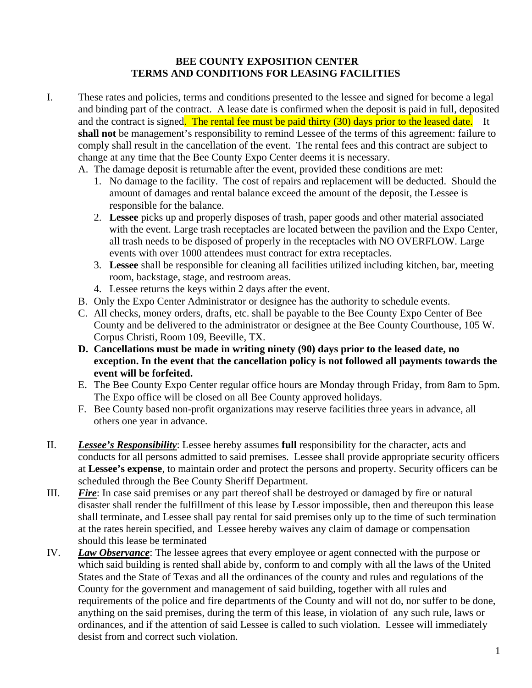#### **BEE COUNTY EXPOSITION CENTER TERMS AND CONDITIONS FOR LEASING FACILITIES**

- I. These rates and policies, terms and conditions presented to the lessee and signed for become a legal and binding part of the contract. A lease date is confirmed when the deposit is paid in full, deposited and the contract is signed. The rental fee must be paid thirty (30) days prior to the leased date. It **shall not** be management's responsibility to remind Lessee of the terms of this agreement: failure to comply shall result in the cancellation of the event. The rental fees and this contract are subject to change at any time that the Bee County Expo Center deems it is necessary.
	- A. The damage deposit is returnable after the event, provided these conditions are met:
		- 1. No damage to the facility. The cost of repairs and replacement will be deducted. Should the amount of damages and rental balance exceed the amount of the deposit, the Lessee is responsible for the balance.
		- 2. **Lessee** picks up and properly disposes of trash, paper goods and other material associated with the event. Large trash receptacles are located between the pavilion and the Expo Center, all trash needs to be disposed of properly in the receptacles with NO OVERFLOW. Large events with over 1000 attendees must contract for extra receptacles.
		- 3. **Lessee** shall be responsible for cleaning all facilities utilized including kitchen, bar, meeting room, backstage, stage, and restroom areas.
		- 4. Lessee returns the keys within 2 days after the event.
	- B. Only the Expo Center Administrator or designee has the authority to schedule events.
	- C. All checks, money orders, drafts, etc. shall be payable to the Bee County Expo Center of Bee County and be delivered to the administrator or designee at the Bee County Courthouse, 105 W. Corpus Christi, Room 109, Beeville, TX.
	- **D. Cancellations must be made in writing ninety (90) days prior to the leased date, no exception. In the event that the cancellation policy is not followed all payments towards the event will be forfeited.**
	- E. The Bee County Expo Center regular office hours are Monday through Friday, from 8am to 5pm. The Expo office will be closed on all Bee County approved holidays.
	- F. Bee County based non-profit organizations may reserve facilities three years in advance, all others one year in advance.
- II. *Lessee's Responsibility*: Lessee hereby assumes **full** responsibility for the character, acts and conducts for all persons admitted to said premises. Lessee shall provide appropriate security officers at **Lessee's expense**, to maintain order and protect the persons and property. Security officers can be scheduled through the Bee County Sheriff Department.
- III. *Fire*: In case said premises or any part thereof shall be destroyed or damaged by fire or natural disaster shall render the fulfillment of this lease by Lessor impossible, then and thereupon this lease shall terminate, and Lessee shall pay rental for said premises only up to the time of such termination at the rates herein specified, and Lessee hereby waives any claim of damage or compensation should this lease be terminated
- IV. *Law Observance*: The lessee agrees that every employee or agent connected with the purpose or which said building is rented shall abide by, conform to and comply with all the laws of the United States and the State of Texas and all the ordinances of the county and rules and regulations of the County for the government and management of said building, together with all rules and requirements of the police and fire departments of the County and will not do, nor suffer to be done, anything on the said premises, during the term of this lease, in violation of any such rule, laws or ordinances, and if the attention of said Lessee is called to such violation. Lessee will immediately desist from and correct such violation.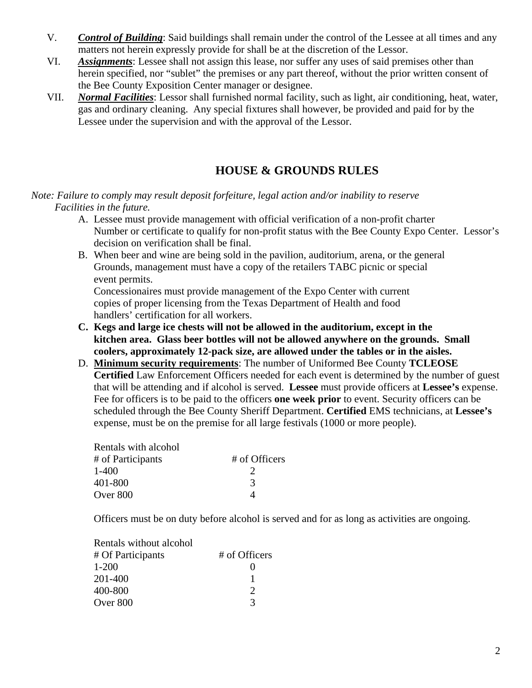- V. *Control of Building*: Said buildings shall remain under the control of the Lessee at all times and any matters not herein expressly provide for shall be at the discretion of the Lessor.
- VI. *Assignments*: Lessee shall not assign this lease, nor suffer any uses of said premises other than herein specified, nor "sublet" the premises or any part thereof, without the prior written consent of the Bee County Exposition Center manager or designee.
- VII. *Normal Facilities*: Lessor shall furnished normal facility, such as light, air conditioning, heat, water, gas and ordinary cleaning. Any special fixtures shall however, be provided and paid for by the Lessee under the supervision and with the approval of the Lessor.

# **HOUSE & GROUNDS RULES**

#### *Note: Failure to comply may result deposit forfeiture, legal action and/or inability to reserve Facilities in the future.*

- A. Lessee must provide management with official verification of a non-profit charter Number or certificate to qualify for non-profit status with the Bee County Expo Center. Lessor's decision on verification shall be final.
- B. When beer and wine are being sold in the pavilion, auditorium, arena, or the general Grounds, management must have a copy of the retailers TABC picnic or special event permits.

 Concessionaires must provide management of the Expo Center with current copies of proper licensing from the Texas Department of Health and food handlers' certification for all workers.

- **C. Kegs and large ice chests will not be allowed in the auditorium, except in the kitchen area. Glass beer bottles will not be allowed anywhere on the grounds. Small coolers, approximately 12-pack size, are allowed under the tables or in the aisles.**
- D. **Minimum security requirements**: The number of Uniformed Bee County **TCLEOSE Certified** Law Enforcement Officers needed for each event is determined by the number of guest that will be attending and if alcohol is served. **Lessee** must provide officers at **Lessee's** expense. Fee for officers is to be paid to the officers **one week prior** to event. Security officers can be scheduled through the Bee County Sheriff Department. **Certified** EMS technicians, at **Lessee's**  expense, must be on the premise for all large festivals (1000 or more people).

| Rentals with alcohol |               |
|----------------------|---------------|
| # of Participants    | # of Officers |
| $1 - 400$            | 2             |
| 401-800              | $\mathcal{R}$ |
| Over 800             |               |

Officers must be on duty before alcohol is served and for as long as activities are ongoing.

| Rentals without alcohol |               |
|-------------------------|---------------|
| # Of Participants       | # of Officers |
| $1 - 200$               |               |
| 201-400                 |               |
| 400-800                 | $\mathcal{D}$ |
| Over 800                | $\mathcal{R}$ |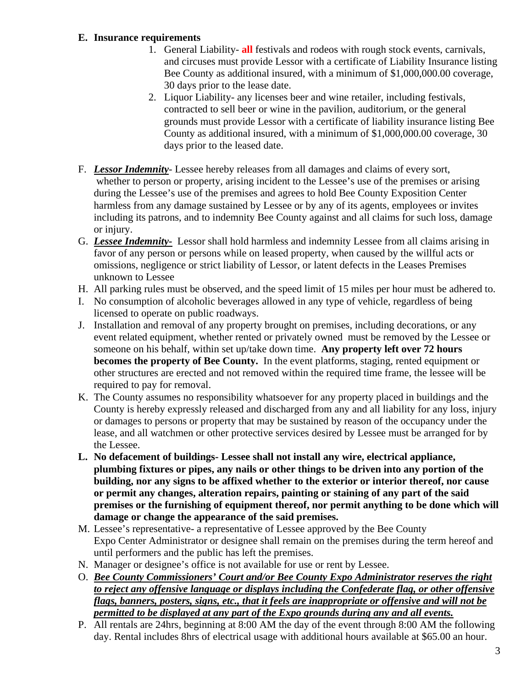#### **E. Insurance requirements**

- 1. General Liability- **all** festivals and rodeos with rough stock events, carnivals, and circuses must provide Lessor with a certificate of Liability Insurance listing Bee County as additional insured, with a minimum of \$1,000,000.00 coverage, 30 days prior to the lease date.
- 2. Liquor Liability- any licenses beer and wine retailer, including festivals, contracted to sell beer or wine in the pavilion, auditorium, or the general grounds must provide Lessor with a certificate of liability insurance listing Bee County as additional insured, with a minimum of \$1,000,000.00 coverage, 30 days prior to the leased date.
- F. *Lessor Indemnity* Lessee hereby releases from all damages and claims of every sort, whether to person or property, arising incident to the Lessee's use of the premises or arising during the Lessee's use of the premises and agrees to hold Bee County Exposition Center harmless from any damage sustained by Lessee or by any of its agents, employees or invites including its patrons, and to indemnity Bee County against and all claims for such loss, damage or injury.
- G. *Lessee Indemnity-* Lessor shall hold harmless and indemnity Lessee from all claims arising in favor of any person or persons while on leased property, when caused by the willful acts or omissions, negligence or strict liability of Lessor, or latent defects in the Leases Premises unknown to Lessee
- H. All parking rules must be observed, and the speed limit of 15 miles per hour must be adhered to.
- I. No consumption of alcoholic beverages allowed in any type of vehicle, regardless of being licensed to operate on public roadways.
- J. Installation and removal of any property brought on premises, including decorations, or any event related equipment, whether rented or privately owned must be removed by the Lessee or someone on his behalf, within set up/take down time. **Any property left over 72 hours becomes the property of Bee County.** In the event platforms, staging, rented equipment or other structures are erected and not removed within the required time frame, the lessee will be required to pay for removal.
- K. The County assumes no responsibility whatsoever for any property placed in buildings and the County is hereby expressly released and discharged from any and all liability for any loss, injury or damages to persons or property that may be sustained by reason of the occupancy under the lease, and all watchmen or other protective services desired by Lessee must be arranged for by the Lessee.
- **L. No defacement of buildings- Lessee shall not install any wire, electrical appliance, plumbing fixtures or pipes, any nails or other things to be driven into any portion of the building, nor any signs to be affixed whether to the exterior or interior thereof, nor cause or permit any changes, alteration repairs, painting or staining of any part of the said premises or the furnishing of equipment thereof, nor permit anything to be done which will damage or change the appearance of the said premises.**
- M. Lessee's representative- a representative of Lessee approved by the Bee County Expo Center Administrator or designee shall remain on the premises during the term hereof and until performers and the public has left the premises.
- N. Manager or designee's office is not available for use or rent by Lessee.
- O. *Bee County Commissioners' Court and/or Bee County Expo Administrator reserves the right to reject any offensive language or displays including the Confederate flag, or other offensive flags, banners, posters, signs, etc., that it feels are inappropriate or offensive and will not be permitted to be displayed at any part of the Expo grounds during any and all events.*
- P. All rentals are 24hrs, beginning at 8:00 AM the day of the event through 8:00 AM the following day. Rental includes 8hrs of electrical usage with additional hours available at \$65.00 an hour.